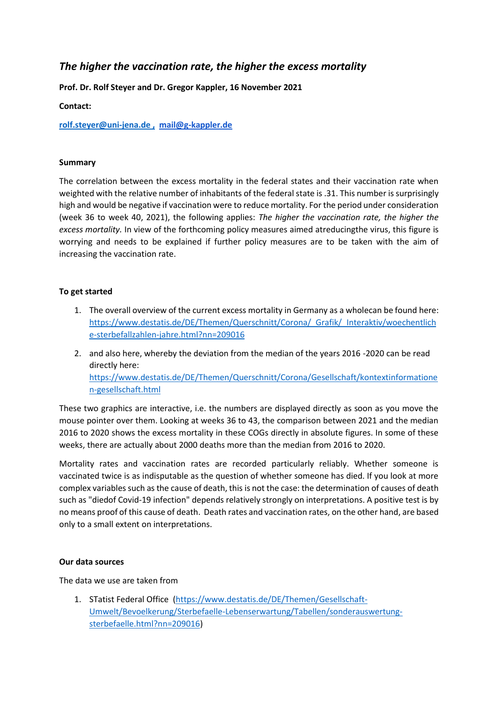# *The higher the vaccination rate, the higher the excess mortality*

# **Prof. Dr. Rolf Steyer and Dr. Gregor Kappler, 16 November 2021**

## **Contact:**

**[rolf.steyer@uni-jena.de ,](mailto:rolf.steyer@uni-jena.de) [mail@g-kappler.de](mailto:mail@g-kappler.de)**

## **Summary**

The correlation between the excess mortality in the federal states and their vaccination rate when weighted with the relative number of inhabitants of the federal state is .31. This number is surprisingly high and would be negative if vaccination were to reduce mortality. For the period under consideration (week 36 to week 40, 2021), the following applies: *The higher the vaccination rate, the higher the excess mortality.* In view of the forthcoming policy measures aimed atreducingthe virus, this figure is worrying and needs to be explained if further policy measures are to be taken with the aim of increasing the vaccination rate.

## **To get started**

- 1. The overall overview of the current excess mortality in Germany as a wholecan be found here: [https://www.destatis.de/DE/Themen/Querschnitt/Corona/\\_Grafik/\\_Interaktiv/woechentlich](https://www.destatis.de/DE/Themen/Querschnitt/Corona/_Grafik/_Interaktiv/woechentliche-sterbefallzahlen-jahre.html?nn=209016) [e-sterbefallzahlen-jahre.html?nn=209016](https://www.destatis.de/DE/Themen/Querschnitt/Corona/_Grafik/_Interaktiv/woechentliche-sterbefallzahlen-jahre.html?nn=209016)
- 2. and also here, whereby the deviation from the median of the years 2016 -2020 can be read directly here: [https://www.destatis.de/DE/Themen/Querschnitt/Corona/Gesellschaft/kontextinformatione](https://www.destatis.de/DE/Themen/Querschnitt/Corona/Gesellschaft/kontextinformationen-gesellschaft.html) [n-gesellschaft.html](https://www.destatis.de/DE/Themen/Querschnitt/Corona/Gesellschaft/kontextinformationen-gesellschaft.html)

These two graphics are interactive, i.e. the numbers are displayed directly as soon as you move the mouse pointer over them. Looking at weeks 36 to 43, the comparison between 2021 and the median 2016 to 2020 shows the excess mortality in these COGs directly in absolute figures. In some of these weeks, there are actually about 2000 deaths more than the median from 2016 to 2020.

Mortality rates and vaccination rates are recorded particularly reliably. Whether someone is vaccinated twice is as indisputable as the question of whether someone has died. If you look at more complex variables such as the cause of death, this is not the case: the determination of causes of death such as "diedof Covid-19 infection" depends relatively strongly on interpretations. A positive test is by no means proof of this cause of death. Death rates and vaccination rates, on the other hand, are based only to a small extent on interpretations.

## **Our data sources**

The data we use are taken from

1. STatist Federal Office [\(https://www.destatis.de/DE/Themen/Gesellschaft-](https://www.destatis.de/DE/Themen/Gesellschaft-Umwelt/Bevoelkerung/Sterbefaelle-Lebenserwartung/Tabellen/sonderauswertung-sterbefaelle.html?nn=209016)[Umwelt/Bevoelkerung/Sterbefaelle-Lebenserwartung/Tabellen/sonderauswertung](https://www.destatis.de/DE/Themen/Gesellschaft-Umwelt/Bevoelkerung/Sterbefaelle-Lebenserwartung/Tabellen/sonderauswertung-sterbefaelle.html?nn=209016)[sterbefaelle.html?nn=209016\)](https://www.destatis.de/DE/Themen/Gesellschaft-Umwelt/Bevoelkerung/Sterbefaelle-Lebenserwartung/Tabellen/sonderauswertung-sterbefaelle.html?nn=209016)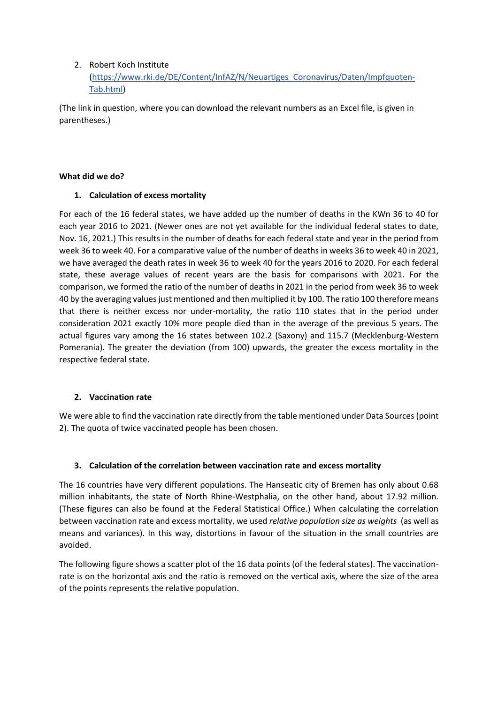# 2. Robert Koch Institute

[\(https://www.rki.de/DE/Content/InfAZ/N/Neuartiges\\_Coronavirus/Daten/Impfquoten-](https://www.rki.de/DE/Content/InfAZ/N/Neuartiges_Coronavirus/Daten/Impfquoten-Tab.html)[Tab.html\)](https://www.rki.de/DE/Content/InfAZ/N/Neuartiges_Coronavirus/Daten/Impfquoten-Tab.html)

(The link in question, where you can download the relevant numbers as an Excel file, is given in parentheses.)

## **What did we do?**

# **1. Calculation of excess mortality**

For each of the 16 federal states, we have added up the number of deaths in the KWn 36 to 40 for each year 2016 to 2021. (Newer ones are not yet available for the individual federal states to date, Nov. 16, 2021.) This results in the number of deaths for each federal state and year in the period from week 36 to week 40. For a comparative value of the number of deaths in weeks 36 to week 40 in 2021, we have averaged the death rates in week 36 to week 40 for the years 2016 to 2020. For each federal state, these average values of recent years are the basis for comparisons with 2021. For the comparison, we formed the ratio of the number of deaths in 2021 in the period from week 36 to week 40 by the averaging values just mentioned and then multiplied it by 100. The ratio 100 therefore means that there is neither excess nor under-mortality, the ratio 110 states that in the period under consideration 2021 exactly 10% more people died than in the average of the previous 5 years. The actual figures vary among the 16 states between 102.2 (Saxony) and 115.7 (Mecklenburg-Western Pomerania). The greater the deviation (from 100) upwards, the greater the excess mortality in the respective federal state.

# **2. Vaccination rate**

We were able to find the vaccination rate directly from the table mentioned under Data Sources (point 2). The quota of twice vaccinated people has been chosen.

# **3. Calculation of the correlation between vaccination rate and excess mortality**

The 16 countries have very different populations. The Hanseatic city of Bremen has only about 0.68 million inhabitants, the state of North Rhine-Westphalia, on the other hand, about 17.92 million. (These figures can also be found at the Federal Statistical Office.) When calculating the correlation between vaccination rate and excess mortality, we used *relative population size as weights* (as well as means and variances). In this way, distortions in favour of the situation in the small countries are avoided.

The following figure shows a scatter plot of the 16 data points (of the federal states). The vaccinationrate is on the horizontal axis and the ratio is removed on the vertical axis, where the size of the area of the points represents the relative population.